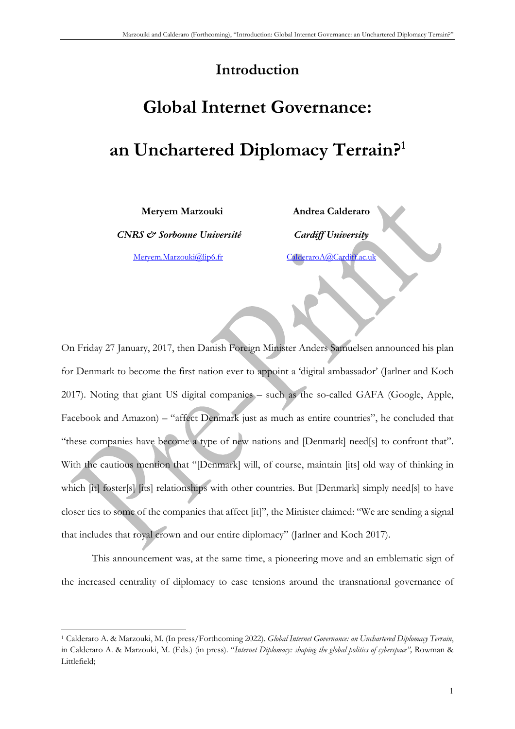# **Introduction**

# **Global Internet Governance: an Unchartered Diplomacy Terrain?1**

**Meryem Marzouki** 

*CNRS & Sorbonne Université*

Meryem.Marzouki@lip6.fr

**Andrea Calderaro** *Cardiff University* CalderaroA@Cardiff.ac.uk

On Friday 27 January, 2017, then Danish Foreign Minister Anders Samuelsen announced his plan for Denmark to become the first nation ever to appoint a 'digital ambassador' (Jarlner and Koch 2017). Noting that giant US digital companies – such as the so-called GAFA (Google, Apple, Facebook and Amazon) – "affect Denmark just as much as entire countries", he concluded that "these companies have become a type of new nations and [Denmark] need[s] to confront that". With the cautious mention that "[Denmark] will, of course, maintain [its] old way of thinking in which [it] foster[s] [its] relationships with other countries. But [Denmark] simply need[s] to have closer ties to some of the companies that affect [it]", the Minister claimed: "We are sending a signal that includes that royal crown and our entire diplomacy" (Jarlner and Koch 2017).

This announcement was, at the same time, a pioneering move and an emblematic sign of the increased centrality of diplomacy to ease tensions around the transnational governance of

<sup>1</sup> Calderaro A. & Marzouki, M. (In press/Forthcoming 2022). *Global Internet Governance: an Unchartered Diplomacy Terrain*, in Calderaro A. & Marzouki, M. (Eds.) (in press). "*Internet Diplomacy: shaping the global politics of cyberspace",* Rowman & Littlefield;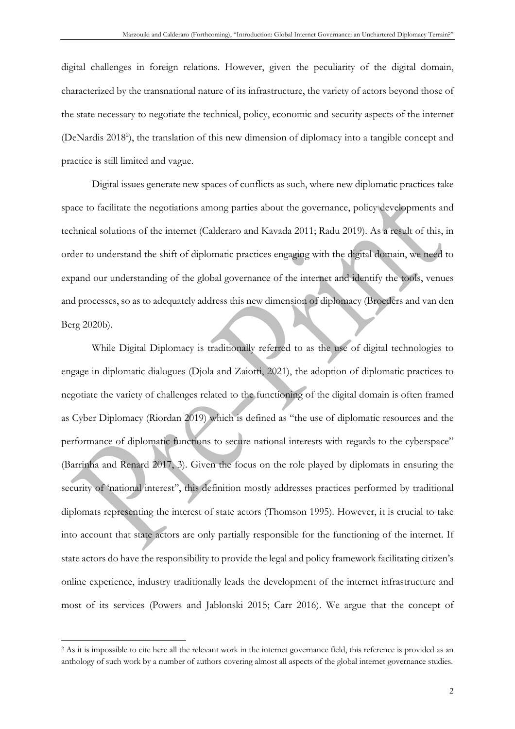digital challenges in foreign relations. However, given the peculiarity of the digital domain, characterized by the transnational nature of its infrastructure, the variety of actors beyond those of the state necessary to negotiate the technical, policy, economic and security aspects of the internet (DeNardis 2018<sup>2</sup>), the translation of this new dimension of diplomacy into a tangible concept and practice is still limited and vague.

Digital issues generate new spaces of conflicts as such, where new diplomatic practices take space to facilitate the negotiations among parties about the governance, policy developments and technical solutions of the internet (Calderaro and Kavada 2011; Radu 2019). As a result of this, in order to understand the shift of diplomatic practices engaging with the digital domain, we need to expand our understanding of the global governance of the internet and identify the tools, venues and processes, so as to adequately address this new dimension of diplomacy (Broeders and van den Berg 2020b).

While Digital Diplomacy is traditionally referred to as the use of digital technologies to engage in diplomatic dialogues (Djola and Zaiotti, 2021), the adoption of diplomatic practices to negotiate the variety of challenges related to the functioning of the digital domain is often framed as Cyber Diplomacy (Riordan 2019) which is defined as "the use of diplomatic resources and the performance of diplomatic functions to secure national interests with regards to the cyberspace" (Barrinha and Renard 2017, 3). Given the focus on the role played by diplomats in ensuring the security of 'national interest'', this definition mostly addresses practices performed by traditional diplomats representing the interest of state actors (Thomson 1995). However, it is crucial to take into account that state actors are only partially responsible for the functioning of the internet. If state actors do have the responsibility to provide the legal and policy framework facilitating citizen's online experience, industry traditionally leads the development of the internet infrastructure and most of its services (Powers and Jablonski 2015; Carr 2016). We argue that the concept of

<sup>&</sup>lt;sup>2</sup> As it is impossible to cite here all the relevant work in the internet governance field, this reference is provided as an anthology of such work by a number of authors covering almost all aspects of the global internet governance studies.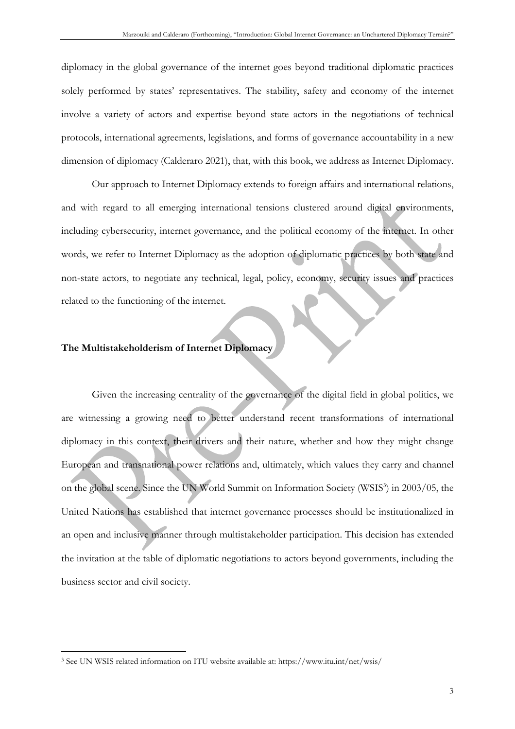diplomacy in the global governance of the internet goes beyond traditional diplomatic practices solely performed by states' representatives. The stability, safety and economy of the internet involve a variety of actors and expertise beyond state actors in the negotiations of technical protocols, international agreements, legislations, and forms of governance accountability in a new dimension of diplomacy (Calderaro 2021), that, with this book, we address as Internet Diplomacy.

Our approach to Internet Diplomacy extends to foreign affairs and international relations, and with regard to all emerging international tensions clustered around digital environments, including cybersecurity, internet governance, and the political economy of the internet. In other words, we refer to Internet Diplomacy as the adoption of diplomatic practices by both state and non-state actors, to negotiate any technical, legal, policy, economy, security issues and practices related to the functioning of the internet.

### **The Multistakeholderism of Internet Diplomacy**

Given the increasing centrality of the governance of the digital field in global politics, we are witnessing a growing need to better understand recent transformations of international diplomacy in this context, their drivers and their nature, whether and how they might change European and transnational power relations and, ultimately, which values they carry and channel on the global scene. Since the UN World Summit on Information Society (WSIS<sup>3</sup>) in 2003/05, the United Nations has established that internet governance processes should be institutionalized in an open and inclusive manner through multistakeholder participation. This decision has extended the invitation at the table of diplomatic negotiations to actors beyond governments, including the business sector and civil society.

<sup>3</sup> See UN WSIS related information on ITU website available at: https://www.itu.int/net/wsis/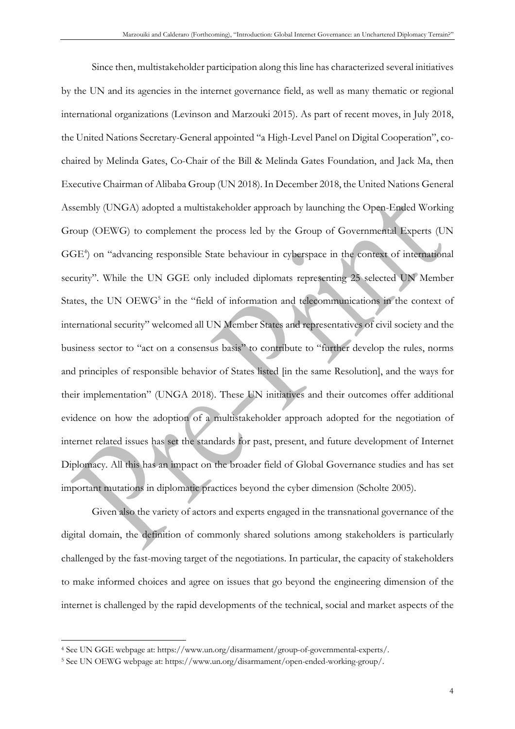Since then, multistakeholder participation along this line has characterized several initiatives by the UN and its agencies in the internet governance field, as well as many thematic or regional international organizations (Levinson and Marzouki 2015). As part of recent moves, in July 2018, the United Nations Secretary-General appointed "a High-Level Panel on Digital Cooperation", cochaired by Melinda Gates, Co-Chair of the Bill & Melinda Gates Foundation, and Jack Ma, then Executive Chairman of Alibaba Group (UN 2018). In December 2018, the United Nations General Assembly (UNGA) adopted a multistakeholder approach by launching the Open-Ended Working Group (OEWG) to complement the process led by the Group of Governmental Experts (UN GGE<sup>4</sup>) on "advancing responsible State behaviour in cyberspace in the context of international security". While the UN GGE only included diplomats representing 25 selected UN Member States, the UN OEWG<sup>5</sup> in the "field of information and telecommunications in the context of international security" welcomed all UN Member States and representatives of civil society and the business sector to "act on a consensus basis" to contribute to "further develop the rules, norms and principles of responsible behavior of States listed [in the same Resolution], and the ways for their implementation" (UNGA 2018). These UN initiatives and their outcomes offer additional evidence on how the adoption of a multistakeholder approach adopted for the negotiation of internet related issues has set the standards for past, present, and future development of Internet Diplomacy. All this has an impact on the broader field of Global Governance studies and has set important mutations in diplomatic practices beyond the cyber dimension (Scholte 2005).

Given also the variety of actors and experts engaged in the transnational governance of the digital domain, the definition of commonly shared solutions among stakeholders is particularly challenged by the fast-moving target of the negotiations. In particular, the capacity of stakeholders to make informed choices and agree on issues that go beyond the engineering dimension of the internet is challenged by the rapid developments of the technical, social and market aspects of the

<sup>4</sup> See UN GGE webpage at: https://www.un.org/disarmament/group-of-governmental-experts/.

<sup>5</sup> See UN OEWG webpage at: https://www.un.org/disarmament/open-ended-working-group/.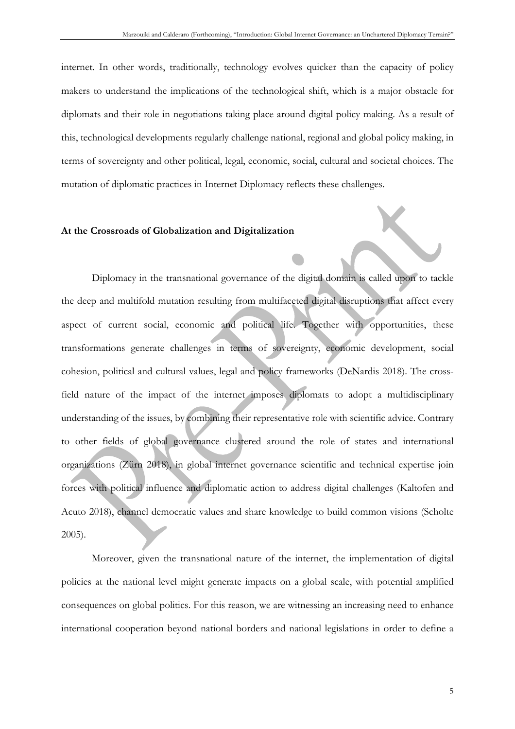internet. In other words, traditionally, technology evolves quicker than the capacity of policy makers to understand the implications of the technological shift, which is a major obstacle for diplomats and their role in negotiations taking place around digital policy making. As a result of this, technological developments regularly challenge national, regional and global policy making, in terms of sovereignty and other political, legal, economic, social, cultural and societal choices. The mutation of diplomatic practices in Internet Diplomacy reflects these challenges.

#### **At the Crossroads of Globalization and Digitalization**

Diplomacy in the transnational governance of the digital domain is called upon to tackle the deep and multifold mutation resulting from multifaceted digital disruptions that affect every aspect of current social, economic and political life. Together with opportunities, these transformations generate challenges in terms of sovereignty, economic development, social cohesion, political and cultural values, legal and policy frameworks (DeNardis 2018). The crossfield nature of the impact of the internet imposes diplomats to adopt a multidisciplinary understanding of the issues, by combining their representative role with scientific advice. Contrary to other fields of global governance clustered around the role of states and international organizations (Zürn 2018), in global internet governance scientific and technical expertise join forces with political influence and diplomatic action to address digital challenges (Kaltofen and Acuto 2018), channel democratic values and share knowledge to build common visions (Scholte 2005).

Moreover, given the transnational nature of the internet, the implementation of digital policies at the national level might generate impacts on a global scale, with potential amplified consequences on global politics. For this reason, we are witnessing an increasing need to enhance international cooperation beyond national borders and national legislations in order to define a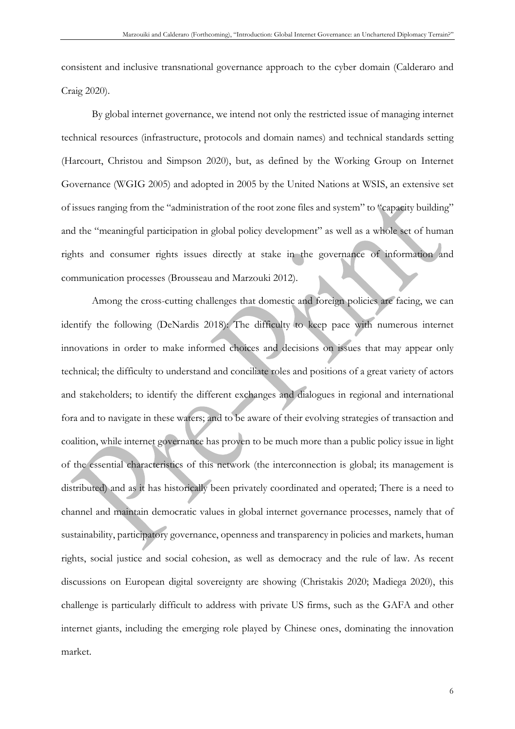consistent and inclusive transnational governance approach to the cyber domain (Calderaro and Craig 2020).

By global internet governance, we intend not only the restricted issue of managing internet technical resources (infrastructure, protocols and domain names) and technical standards setting (Harcourt, Christou and Simpson 2020), but, as defined by the Working Group on Internet Governance (WGIG 2005) and adopted in 2005 by the United Nations at WSIS, an extensive set of issues ranging from the "administration of the root zone files and system" to "capacity building" and the "meaningful participation in global policy development" as well as a whole set of human rights and consumer rights issues directly at stake in the governance of information and communication processes (Brousseau and Marzouki 2012).

Among the cross-cutting challenges that domestic and foreign policies are facing, we can identify the following (DeNardis 2018): The difficulty to keep pace with numerous internet innovations in order to make informed choices and decisions on issues that may appear only technical; the difficulty to understand and conciliate roles and positions of a great variety of actors and stakeholders; to identify the different exchanges and dialogues in regional and international fora and to navigate in these waters; and to be aware of their evolving strategies of transaction and coalition, while internet governance has proven to be much more than a public policy issue in light of the essential characteristics of this network (the interconnection is global; its management is distributed) and as it has historically been privately coordinated and operated; There is a need to channel and maintain democratic values in global internet governance processes, namely that of sustainability, participatory governance, openness and transparency in policies and markets, human rights, social justice and social cohesion, as well as democracy and the rule of law. As recent discussions on European digital sovereignty are showing (Christakis 2020; Madiega 2020), this challenge is particularly difficult to address with private US firms, such as the GAFA and other internet giants, including the emerging role played by Chinese ones, dominating the innovation market.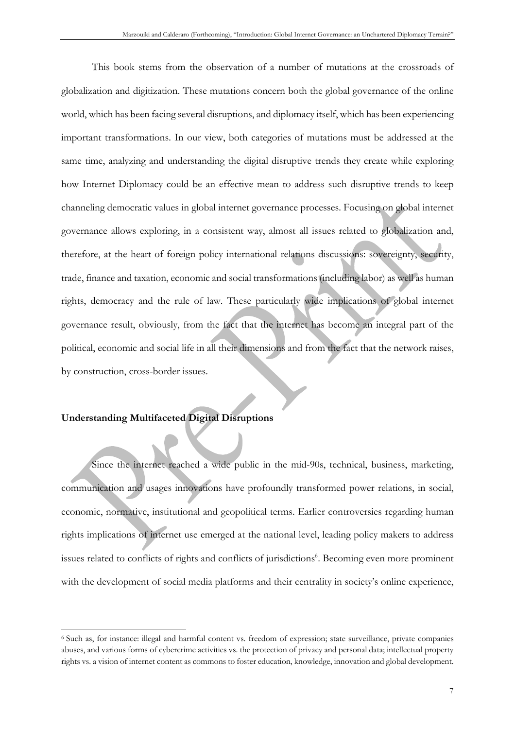This book stems from the observation of a number of mutations at the crossroads of globalization and digitization. These mutations concern both the global governance of the online world, which has been facing several disruptions, and diplomacy itself, which has been experiencing important transformations. In our view, both categories of mutations must be addressed at the same time, analyzing and understanding the digital disruptive trends they create while exploring how Internet Diplomacy could be an effective mean to address such disruptive trends to keep channeling democratic values in global internet governance processes. Focusing on global internet governance allows exploring, in a consistent way, almost all issues related to globalization and, therefore, at the heart of foreign policy international relations discussions: sovereignty, security, trade, finance and taxation, economic and social transformations (including labor) as well as human rights, democracy and the rule of law. These particularly wide implications of global internet governance result, obviously, from the fact that the internet has become an integral part of the political, economic and social life in all their dimensions and from the fact that the network raises, by construction, cross-border issues.

## **Understanding Multifaceted Digital Disruptions**

Since the internet reached a wide public in the mid-90s, technical, business, marketing, communication and usages innovations have profoundly transformed power relations, in social, economic, normative, institutional and geopolitical terms. Earlier controversies regarding human rights implications of internet use emerged at the national level, leading policy makers to address issues related to conflicts of rights and conflicts of jurisdictions<sup>6</sup>. Becoming even more prominent with the development of social media platforms and their centrality in society's online experience,

<sup>6</sup> Such as, for instance: illegal and harmful content vs. freedom of expression; state surveillance, private companies abuses, and various forms of cybercrime activities vs. the protection of privacy and personal data; intellectual property rights vs. a vision of internet content as commons to foster education, knowledge, innovation and global development.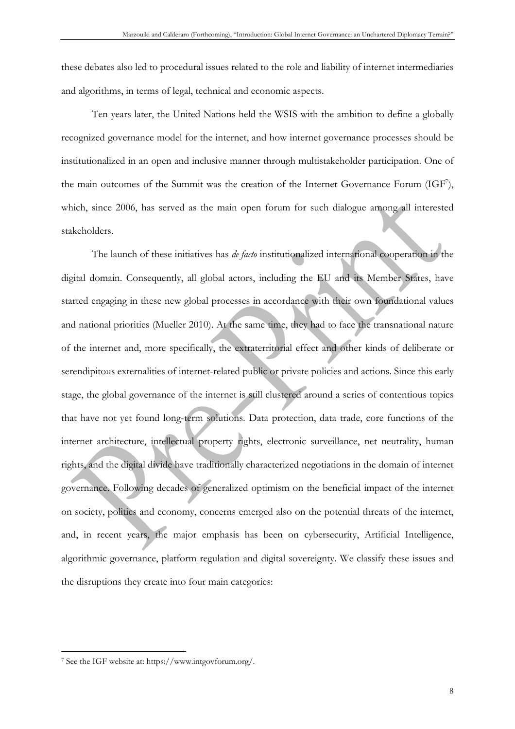these debates also led to procedural issues related to the role and liability of internet intermediaries and algorithms, in terms of legal, technical and economic aspects.

Ten years later, the United Nations held the WSIS with the ambition to define a globally recognized governance model for the internet, and how internet governance processes should be institutionalized in an open and inclusive manner through multistakeholder participation. One of the main outcomes of the Summit was the creation of the Internet Governance Forum (IGF<sup>7</sup>), which, since 2006, has served as the main open forum for such dialogue among all interested stakeholders.

The launch of these initiatives has *de facto* institutionalized international cooperation in the digital domain. Consequently, all global actors, including the EU and its Member States, have started engaging in these new global processes in accordance with their own foundational values and national priorities (Mueller 2010). At the same time, they had to face the transnational nature of the internet and, more specifically, the extraterritorial effect and other kinds of deliberate or serendipitous externalities of internet-related public or private policies and actions. Since this early stage, the global governance of the internet is still clustered around a series of contentious topics that have not yet found long-term solutions. Data protection, data trade, core functions of the internet architecture, intellectual property rights, electronic surveillance, net neutrality, human rights, and the digital divide have traditionally characterized negotiations in the domain of internet governance. Following decades of generalized optimism on the beneficial impact of the internet on society, politics and economy, concerns emerged also on the potential threats of the internet, and, in recent years, the major emphasis has been on cybersecurity, Artificial Intelligence, algorithmic governance, platform regulation and digital sovereignty. We classify these issues and the disruptions they create into four main categories:

<sup>7</sup> See the IGF website at: https://www.intgovforum.org/.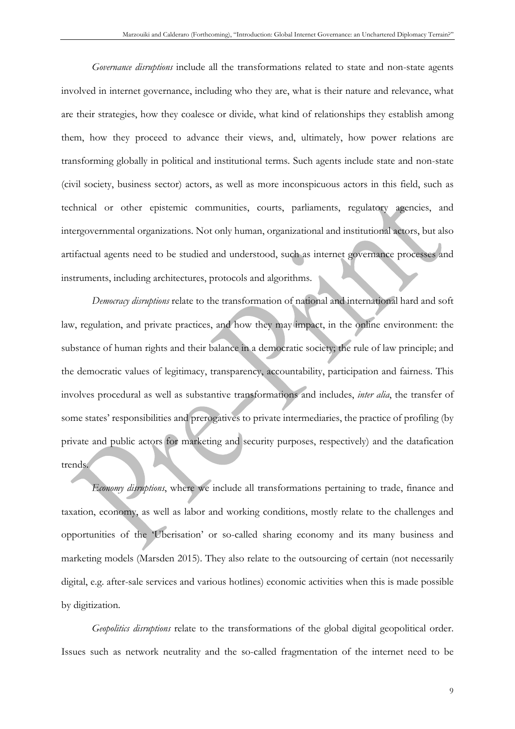*Governance disruptions* include all the transformations related to state and non-state agents involved in internet governance, including who they are, what is their nature and relevance, what are their strategies, how they coalesce or divide, what kind of relationships they establish among them, how they proceed to advance their views, and, ultimately, how power relations are transforming globally in political and institutional terms. Such agents include state and non-state (civil society, business sector) actors, as well as more inconspicuous actors in this field, such as technical or other epistemic communities, courts, parliaments, regulatory agencies, and intergovernmental organizations. Not only human, organizational and institutional actors, but also artifactual agents need to be studied and understood, such as internet governance processes and instruments, including architectures, protocols and algorithms.

*Democracy disruptions* relate to the transformation of national and international hard and soft law, regulation, and private practices, and how they may impact, in the online environment: the substance of human rights and their balance in a democratic society; the rule of law principle; and the democratic values of legitimacy, transparency, accountability, participation and fairness. This involves procedural as well as substantive transformations and includes, *inter alia*, the transfer of some states' responsibilities and prerogatives to private intermediaries, the practice of profiling (by private and public actors for marketing and security purposes, respectively) and the datafication trends.

*Economy disruptions*, where we include all transformations pertaining to trade, finance and taxation, economy, as well as labor and working conditions, mostly relate to the challenges and opportunities of the 'Uberisation' or so-called sharing economy and its many business and marketing models (Marsden 2015). They also relate to the outsourcing of certain (not necessarily digital, e.g. after-sale services and various hotlines) economic activities when this is made possible by digitization.

*Geopolitics disruptions* relate to the transformations of the global digital geopolitical order. Issues such as network neutrality and the so-called fragmentation of the internet need to be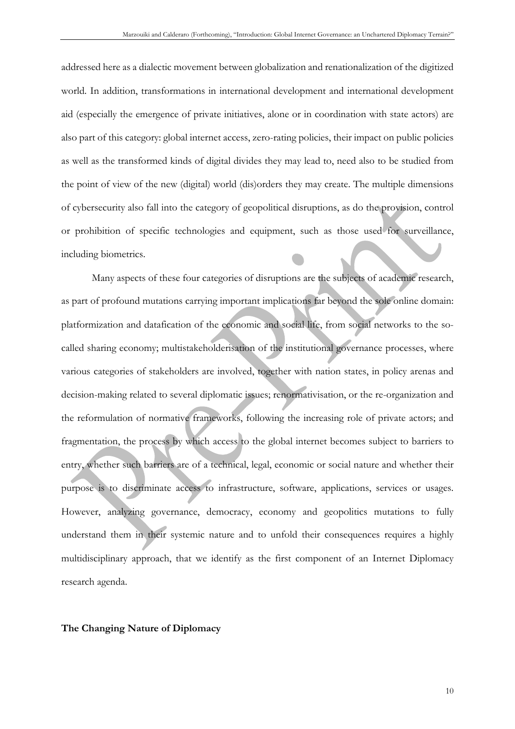addressed here as a dialectic movement between globalization and renationalization of the digitized world. In addition, transformations in international development and international development aid (especially the emergence of private initiatives, alone or in coordination with state actors) are also part of this category: global internet access, zero-rating policies, their impact on public policies as well as the transformed kinds of digital divides they may lead to, need also to be studied from the point of view of the new (digital) world (dis)orders they may create. The multiple dimensions of cybersecurity also fall into the category of geopolitical disruptions, as do the provision, control or prohibition of specific technologies and equipment, such as those used for surveillance, including biometrics.

Many aspects of these four categories of disruptions are the subjects of academic research, as part of profound mutations carrying important implications far beyond the sole online domain: platformization and datafication of the economic and social life, from social networks to the socalled sharing economy; multistakeholderisation of the institutional governance processes, where various categories of stakeholders are involved, together with nation states, in policy arenas and decision-making related to several diplomatic issues; renormativisation, or the re-organization and the reformulation of normative frameworks, following the increasing role of private actors; and fragmentation, the process by which access to the global internet becomes subject to barriers to entry, whether such barriers are of a technical, legal, economic or social nature and whether their purpose is to discriminate access to infrastructure, software, applications, services or usages. However, analyzing governance, democracy, economy and geopolitics mutations to fully understand them in their systemic nature and to unfold their consequences requires a highly multidisciplinary approach, that we identify as the first component of an Internet Diplomacy research agenda.

#### **The Changing Nature of Diplomacy**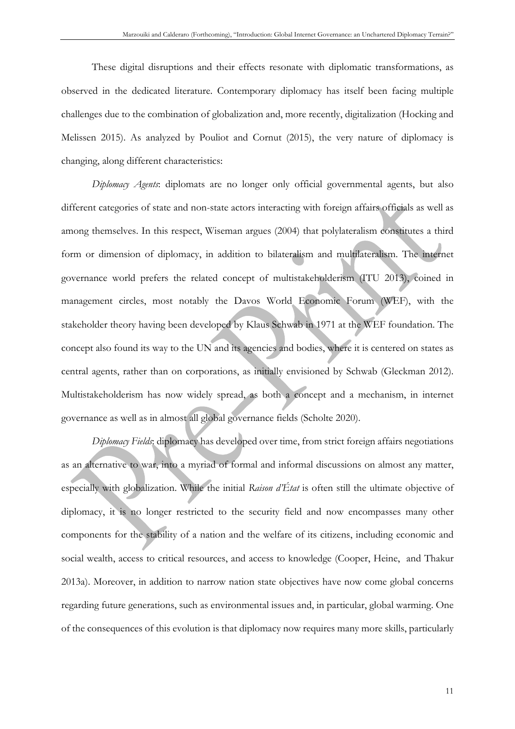These digital disruptions and their effects resonate with diplomatic transformations, as observed in the dedicated literature. Contemporary diplomacy has itself been facing multiple challenges due to the combination of globalization and, more recently, digitalization (Hocking and Melissen 2015). As analyzed by Pouliot and Cornut (2015), the very nature of diplomacy is changing, along different characteristics:

*Diplomacy Agents*: diplomats are no longer only official governmental agents, but also different categories of state and non-state actors interacting with foreign affairs officials as well as among themselves. In this respect, Wiseman argues (2004) that polylateralism constitutes a third form or dimension of diplomacy, in addition to bilateralism and multilateralism. The internet governance world prefers the related concept of multistakeholderism (ITU 2013), coined in management circles, most notably the Davos World Economic Forum (WEF), with the stakeholder theory having been developed by Klaus Schwab in 1971 at the WEF foundation. The concept also found its way to the UN and its agencies and bodies, where it is centered on states as central agents, rather than on corporations, as initially envisioned by Schwab (Gleckman 2012). Multistakeholderism has now widely spread, as both a concept and a mechanism, in internet governance as well as in almost all global governance fields (Scholte 2020).

*Diplomacy Fields*: diplomacy has developed over time, from strict foreign affairs negotiations as an alternative to war, into a myriad of formal and informal discussions on almost any matter, especially with globalization. While the initial *Raison d'État* is often still the ultimate objective of diplomacy, it is no longer restricted to the security field and now encompasses many other components for the stability of a nation and the welfare of its citizens, including economic and social wealth, access to critical resources, and access to knowledge (Cooper, Heine, and Thakur 2013a). Moreover, in addition to narrow nation state objectives have now come global concerns regarding future generations, such as environmental issues and, in particular, global warming. One of the consequences of this evolution is that diplomacy now requires many more skills, particularly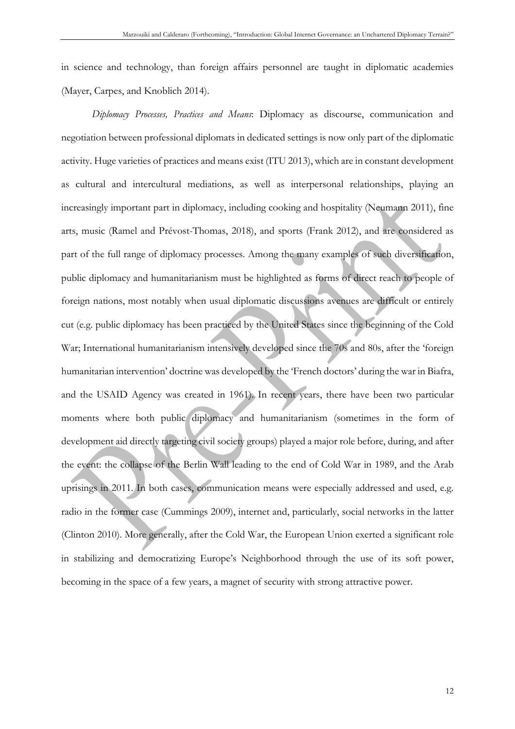in science and technology, than foreign affairs personnel are taught in diplomatic academies (Mayer, Carpes, and Knoblich 2014).

*Diplomacy Processes, Practices and Means*: Diplomacy as discourse, communication and negotiation between professional diplomats in dedicated settings is now only part of the diplomatic activity. Huge varieties of practices and means exist (ITU 2013), which are in constant development as cultural and intercultural mediations, as well as interpersonal relationships, playing an increasingly important part in diplomacy, including cooking and hospitality (Neumann 2011), fine arts, music (Ramel and Prévost-Thomas, 2018), and sports (Frank 2012), and are considered as part of the full range of diplomacy processes. Among the many examples of such diversification, public diplomacy and humanitarianism must be highlighted as forms of direct reach to people of foreign nations, most notably when usual diplomatic discussions avenues are difficult or entirely cut (e.g. public diplomacy has been practiced by the United States since the beginning of the Cold War; International humanitarianism intensively developed since the 70s and 80s, after the 'foreign humanitarian intervention' doctrine was developed by the 'French doctors' during the war in Biafra, and the USAID Agency was created in 1961). In recent years, there have been two particular moments where both public diplomacy and humanitarianism (sometimes in the form of development aid directly targeting civil society groups) played a major role before, during, and after the event: the collapse of the Berlin Wall leading to the end of Cold War in 1989, and the Arab uprisings in 2011. In both cases, communication means were especially addressed and used, e.g. radio in the former case (Cummings 2009), internet and, particularly, social networks in the latter (Clinton 2010). More generally, after the Cold War, the European Union exerted a significant role in stabilizing and democratizing Europe's Neighborhood through the use of its soft power, becoming in the space of a few years, a magnet of security with strong attractive power.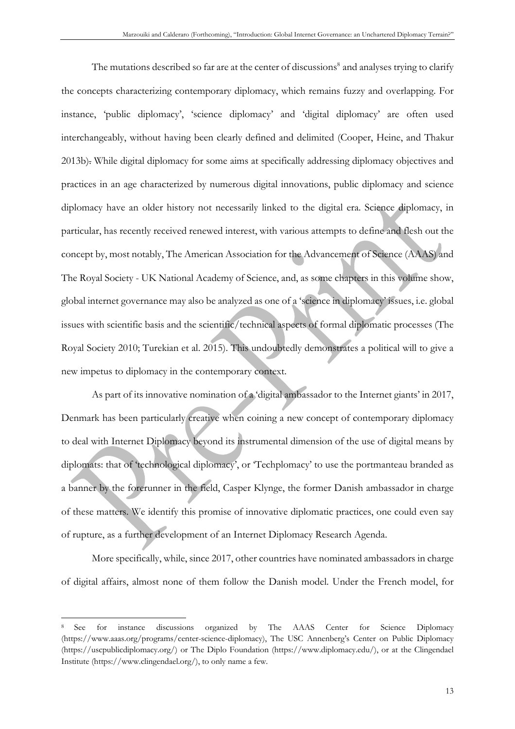The mutations described so far are at the center of discussions<sup>8</sup> and analyses trying to clarify the concepts characterizing contemporary diplomacy, which remains fuzzy and overlapping. For instance, 'public diplomacy', 'science diplomacy' and 'digital diplomacy' are often used interchangeably, without having been clearly defined and delimited (Cooper, Heine, and Thakur 2013b). While digital diplomacy for some aims at specifically addressing diplomacy objectives and practices in an age characterized by numerous digital innovations, public diplomacy and science diplomacy have an older history not necessarily linked to the digital era. Science diplomacy, in particular, has recently received renewed interest, with various attempts to define and flesh out the concept by, most notably, The American Association for the Advancement of Science (AAAS) and The Royal Society - UK National Academy of Science, and, as some chapters in this volume show, global internet governance may also be analyzed as one of a 'science in diplomacy' issues, i.e. global issues with scientific basis and the scientific/technical aspects of formal diplomatic processes (The Royal Society 2010; Turekian et al. 2015). This undoubtedly demonstrates a political will to give a new impetus to diplomacy in the contemporary context.

As part of its innovative nomination of a 'digital ambassador to the Internet giants' in 2017, Denmark has been particularly creative when coining a new concept of contemporary diplomacy to deal with Internet Diplomacy beyond its instrumental dimension of the use of digital means by diplomats: that of 'technological diplomacy', or 'Techplomacy' to use the portmanteau branded as a banner by the forerunner in the field, Casper Klynge, the former Danish ambassador in charge of these matters. We identify this promise of innovative diplomatic practices, one could even say of rupture, as a further development of an Internet Diplomacy Research Agenda.

More specifically, while, since 2017, other countries have nominated ambassadors in charge of digital affairs, almost none of them follow the Danish model. Under the French model, for

<sup>8</sup> See for instance discussions organized by The AAAS Center for Science Diplomacy (https://www.aaas.org/programs/center-science-diplomacy), The USC Annenberg's Center on Public Diplomacy (https://uscpublicdiplomacy.org/) or The Diplo Foundation (https://www.diplomacy.edu/), or at the Clingendael Institute (https://www.clingendael.org/), to only name a few.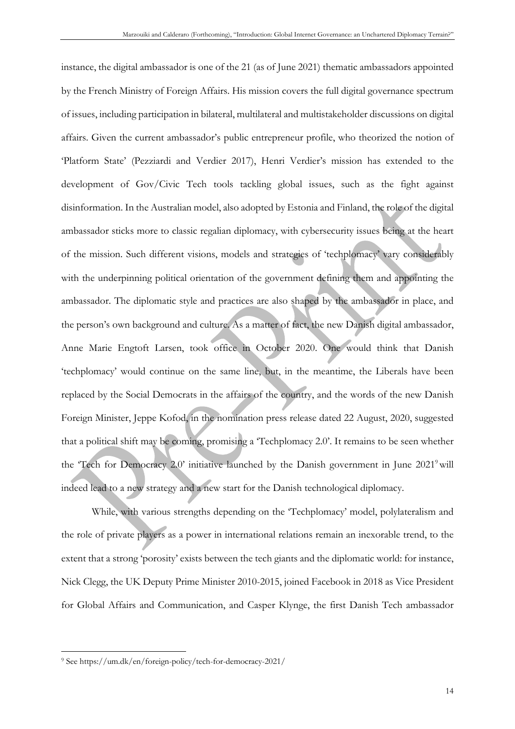instance, the digital ambassador is one of the 21 (as of June 2021) thematic ambassadors appointed by the French Ministry of Foreign Affairs. His mission covers the full digital governance spectrum of issues, including participation in bilateral, multilateral and multistakeholder discussions on digital affairs. Given the current ambassador's public entrepreneur profile, who theorized the notion of 'Platform State' (Pezziardi and Verdier 2017), Henri Verdier's mission has extended to the development of Gov/Civic Tech tools tackling global issues, such as the fight against disinformation. In the Australian model, also adopted by Estonia and Finland, the role of the digital ambassador sticks more to classic regalian diplomacy, with cybersecurity issues being at the heart of the mission. Such different visions, models and strategies of 'techplomacy' vary considerably with the underpinning political orientation of the government defining them and appointing the ambassador. The diplomatic style and practices are also shaped by the ambassador in place, and the person's own background and culture. As a matter of fact, the new Danish digital ambassador, Anne Marie Engtoft Larsen, took office in October 2020. One would think that Danish 'techplomacy' would continue on the same line, but, in the meantime, the Liberals have been replaced by the Social Democrats in the affairs of the country, and the words of the new Danish Foreign Minister, Jeppe Kofod, in the nomination press release dated 22 August, 2020, suggested that a political shift may be coming, promising a 'Techplomacy 2.0'. It remains to be seen whether the 'Tech for Democracy 2.0' initiative launched by the Danish government in June 2021' will indeed lead to a new strategy and a new start for the Danish technological diplomacy.

While, with various strengths depending on the 'Techplomacy' model, polylateralism and the role of private players as a power in international relations remain an inexorable trend, to the extent that a strong 'porosity' exists between the tech giants and the diplomatic world: for instance, Nick Clegg, the UK Deputy Prime Minister 2010-2015, joined Facebook in 2018 as Vice President for Global Affairs and Communication, and Casper Klynge, the first Danish Tech ambassador

<sup>9</sup> See https://um.dk/en/foreign-policy/tech-for-democracy-2021/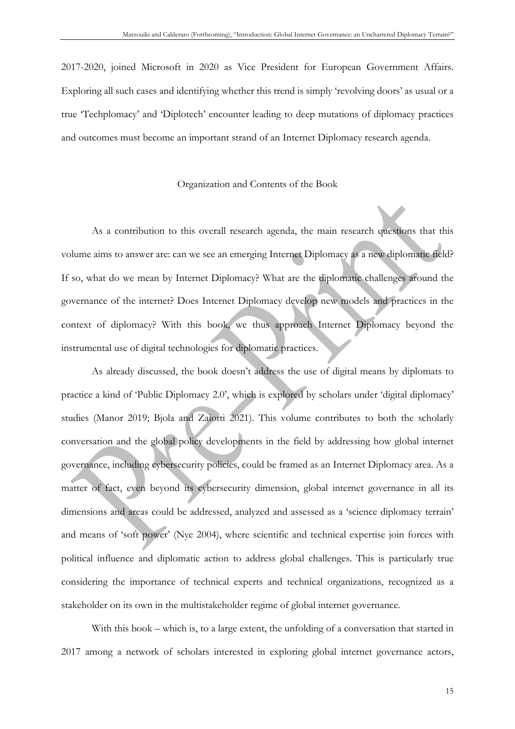2017-2020, joined Microsoft in 2020 as Vice President for European Government Affairs. Exploring all such cases and identifying whether this trend is simply 'revolving doors' as usual or a true 'Techplomacy' and 'Diplotech' encounter leading to deep mutations of diplomacy practices and outcomes must become an important strand of an Internet Diplomacy research agenda.

#### Organization and Contents of the Book

As a contribution to this overall research agenda, the main research questions that this volume aims to answer are: can we see an emerging Internet Diplomacy as a new diplomatic field? If so, what do we mean by Internet Diplomacy? What are the diplomatic challenges around the governance of the internet? Does Internet Diplomacy develop new models and practices in the context of diplomacy? With this book, we thus approach Internet Diplomacy beyond the instrumental use of digital technologies for diplomatic practices.

As already discussed, the book doesn't address the use of digital means by diplomats to practice a kind of 'Public Diplomacy 2.0', which is explored by scholars under 'digital diplomacy' studies (Manor 2019; Bjola and Zaiotti 2021). This volume contributes to both the scholarly conversation and the global policy developments in the field by addressing how global internet governance, including cybersecurity policies, could be framed as an Internet Diplomacy area. As a matter of fact, even beyond its cybersecurity dimension, global internet governance in all its dimensions and areas could be addressed, analyzed and assessed as a 'science diplomacy terrain' and means of 'soft power' (Nye 2004), where scientific and technical expertise join forces with political influence and diplomatic action to address global challenges. This is particularly true considering the importance of technical experts and technical organizations, recognized as a stakeholder on its own in the multistakeholder regime of global internet governance.

With this book – which is, to a large extent, the unfolding of a conversation that started in 2017 among a network of scholars interested in exploring global internet governance actors,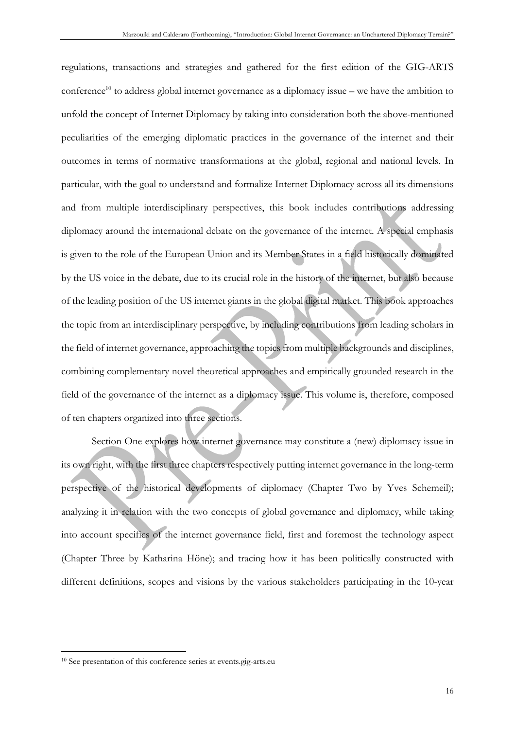regulations, transactions and strategies and gathered for the first edition of the GIG-ARTS conference<sup>10</sup> to address global internet governance as a diplomacy issue – we have the ambition to unfold the concept of Internet Diplomacy by taking into consideration both the above-mentioned peculiarities of the emerging diplomatic practices in the governance of the internet and their outcomes in terms of normative transformations at the global, regional and national levels. In particular, with the goal to understand and formalize Internet Diplomacy across all its dimensions and from multiple interdisciplinary perspectives, this book includes contributions addressing diplomacy around the international debate on the governance of the internet. A special emphasis is given to the role of the European Union and its Member States in a field historically dominated by the US voice in the debate, due to its crucial role in the history of the internet, but also because of the leading position of the US internet giants in the global digital market. This book approaches the topic from an interdisciplinary perspective, by including contributions from leading scholars in the field of internet governance, approaching the topics from multiple backgrounds and disciplines, combining complementary novel theoretical approaches and empirically grounded research in the field of the governance of the internet as a diplomacy issue. This volume is, therefore, composed of ten chapters organized into three sections.

Section One explores how internet governance may constitute a (new) diplomacy issue in its own right, with the first three chapters respectively putting internet governance in the long-term perspective of the historical developments of diplomacy (Chapter Two by Yves Schemeil); analyzing it in relation with the two concepts of global governance and diplomacy, while taking into account specifics of the internet governance field, first and foremost the technology aspect (Chapter Three by Katharina Höne); and tracing how it has been politically constructed with different definitions, scopes and visions by the various stakeholders participating in the 10-year

<sup>10</sup> See presentation of this conference series at events.gig-arts.eu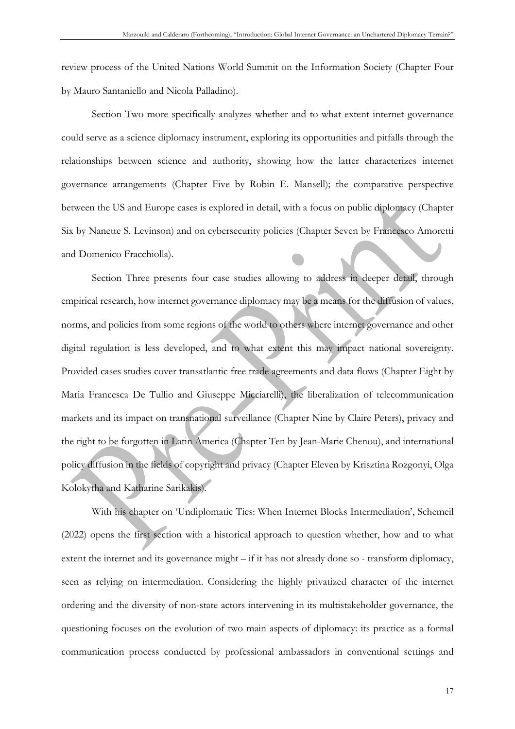review process of the United Nations World Summit on the Information Society (Chapter Four by Mauro Santaniello and Nicola Palladino).

Section Two more specifically analyzes whether and to what extent internet governance could serve as a science diplomacy instrument, exploring its opportunities and pitfalls through the relationships between science and authority, showing how the latter characterizes internet governance arrangements (Chapter Five by Robin E. Mansell); the comparative perspective between the US and Europe cases is explored in detail, with a focus on public diplomacy (Chapter Six by Nanette S. Levinson) and on cybersecurity policies (Chapter Seven by Francesco Amoretti and Domenico Fracchiolla).

Section Three presents four case studies allowing to address in deeper detail, through empirical research, how internet governance diplomacy may be a means for the diffusion of values, norms, and policies from some regions of the world to others where internet governance and other digital regulation is less developed, and to what extent this may impact national sovereignty. Provided cases studies cover transatlantic free trade agreements and data flows (Chapter Eight by Maria Francesca De Tullio and Giuseppe Micciarelli), the liberalization of telecommunication markets and its impact on transnational surveillance (Chapter Nine by Claire Peters), privacy and the right to be forgotten in Latin America (Chapter Ten by Jean-Marie Chenou), and international policy diffusion in the fields of copyright and privacy (Chapter Eleven by Krisztina Rozgonyi, Olga Kolokytha and Katharine Sarikakis).

With his chapter on 'Undiplomatic Ties: When Internet Blocks Intermediation', Schemeil (2022) opens the first section with a historical approach to question whether, how and to what extent the internet and its governance might – if it has not already done so - transform diplomacy, seen as relying on intermediation. Considering the highly privatized character of the internet ordering and the diversity of non-state actors intervening in its multistakeholder governance, the questioning focuses on the evolution of two main aspects of diplomacy: its practice as a formal communication process conducted by professional ambassadors in conventional settings and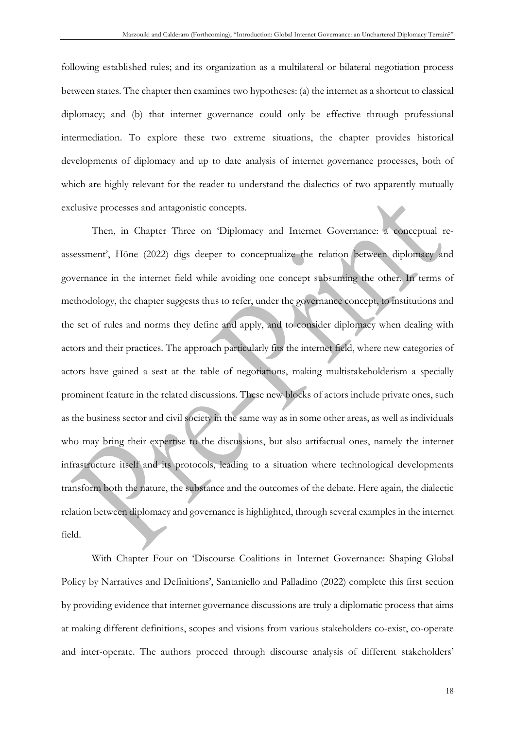following established rules; and its organization as a multilateral or bilateral negotiation process between states. The chapter then examines two hypotheses: (a) the internet as a shortcut to classical diplomacy; and (b) that internet governance could only be effective through professional intermediation. To explore these two extreme situations, the chapter provides historical developments of diplomacy and up to date analysis of internet governance processes, both of which are highly relevant for the reader to understand the dialectics of two apparently mutually exclusive processes and antagonistic concepts.

Then, in Chapter Three on 'Diplomacy and Internet Governance: a conceptual reassessment', Höne (2022) digs deeper to conceptualize the relation between diplomacy and governance in the internet field while avoiding one concept subsuming the other. In terms of methodology, the chapter suggests thus to refer, under the governance concept, to institutions and the set of rules and norms they define and apply, and to consider diplomacy when dealing with actors and their practices. The approach particularly fits the internet field, where new categories of actors have gained a seat at the table of negotiations, making multistakeholderism a specially prominent feature in the related discussions. These new blocks of actors include private ones, such as the business sector and civil society in the same way as in some other areas, as well as individuals who may bring their expertise to the discussions, but also artifactual ones, namely the internet infrastructure itself and its protocols, leading to a situation where technological developments transform both the nature, the substance and the outcomes of the debate. Here again, the dialectic relation between diplomacy and governance is highlighted, through several examples in the internet field.

With Chapter Four on 'Discourse Coalitions in Internet Governance: Shaping Global Policy by Narratives and Definitions', Santaniello and Palladino (2022) complete this first section by providing evidence that internet governance discussions are truly a diplomatic process that aims at making different definitions, scopes and visions from various stakeholders co-exist, co-operate and inter-operate. The authors proceed through discourse analysis of different stakeholders'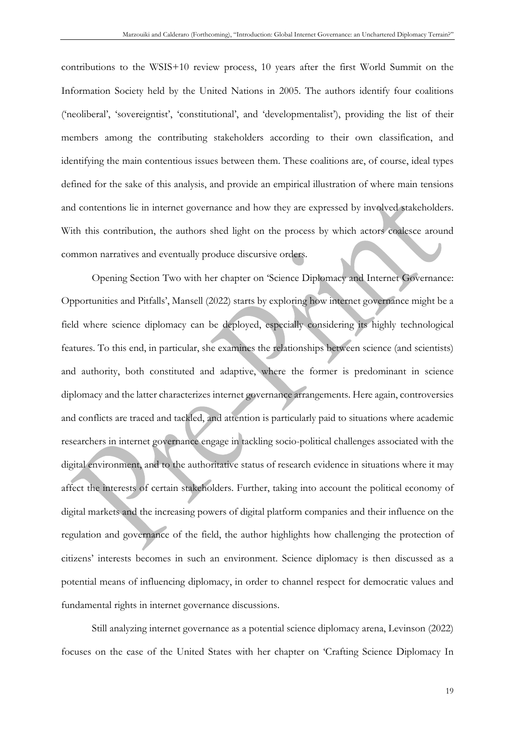contributions to the WSIS+10 review process, 10 years after the first World Summit on the Information Society held by the United Nations in 2005. The authors identify four coalitions ('neoliberal', 'sovereigntist', 'constitutional', and 'developmentalist'), providing the list of their members among the contributing stakeholders according to their own classification, and identifying the main contentious issues between them. These coalitions are, of course, ideal types defined for the sake of this analysis, and provide an empirical illustration of where main tensions and contentions lie in internet governance and how they are expressed by involved stakeholders. With this contribution, the authors shed light on the process by which actors coalesce around common narratives and eventually produce discursive orders.

Opening Section Two with her chapter on 'Science Diplomacy and Internet Governance: Opportunities and Pitfalls', Mansell (2022) starts by exploring how internet governance might be a field where science diplomacy can be deployed, especially considering its highly technological features. To this end, in particular, she examines the relationships between science (and scientists) and authority, both constituted and adaptive, where the former is predominant in science diplomacy and the latter characterizes internet governance arrangements. Here again, controversies and conflicts are traced and tackled, and attention is particularly paid to situations where academic researchers in internet governance engage in tackling socio-political challenges associated with the digital environment, and to the authoritative status of research evidence in situations where it may affect the interests of certain stakeholders. Further, taking into account the political economy of digital markets and the increasing powers of digital platform companies and their influence on the regulation and governance of the field, the author highlights how challenging the protection of citizens' interests becomes in such an environment. Science diplomacy is then discussed as a potential means of influencing diplomacy, in order to channel respect for democratic values and fundamental rights in internet governance discussions.

Still analyzing internet governance as a potential science diplomacy arena, Levinson (2022) focuses on the case of the United States with her chapter on 'Crafting Science Diplomacy In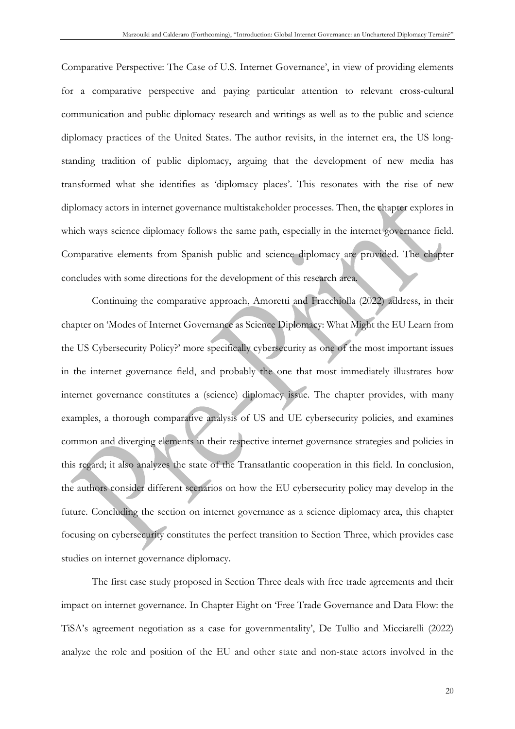Comparative Perspective: The Case of U.S. Internet Governance', in view of providing elements for a comparative perspective and paying particular attention to relevant cross-cultural communication and public diplomacy research and writings as well as to the public and science diplomacy practices of the United States. The author revisits, in the internet era, the US longstanding tradition of public diplomacy, arguing that the development of new media has transformed what she identifies as 'diplomacy places'. This resonates with the rise of new diplomacy actors in internet governance multistakeholder processes. Then, the chapter explores in which ways science diplomacy follows the same path, especially in the internet governance field. Comparative elements from Spanish public and science diplomacy are provided. The chapter concludes with some directions for the development of this research area.

Continuing the comparative approach, Amoretti and Fracchiolla (2022) address, in their chapter on 'Modes of Internet Governance as Science Diplomacy: What Might the EU Learn from the US Cybersecurity Policy?' more specifically cybersecurity as one of the most important issues in the internet governance field, and probably the one that most immediately illustrates how internet governance constitutes a (science) diplomacy issue. The chapter provides, with many examples, a thorough comparative analysis of US and UE cybersecurity policies, and examines common and diverging elements in their respective internet governance strategies and policies in this regard; it also analyzes the state of the Transatlantic cooperation in this field. In conclusion, the authors consider different scenarios on how the EU cybersecurity policy may develop in the future. Concluding the section on internet governance as a science diplomacy area, this chapter focusing on cybersecurity constitutes the perfect transition to Section Three, which provides case studies on internet governance diplomacy.

The first case study proposed in Section Three deals with free trade agreements and their impact on internet governance. In Chapter Eight on 'Free Trade Governance and Data Flow: the TiSA's agreement negotiation as a case for governmentality', De Tullio and Micciarelli (2022) analyze the role and position of the EU and other state and non-state actors involved in the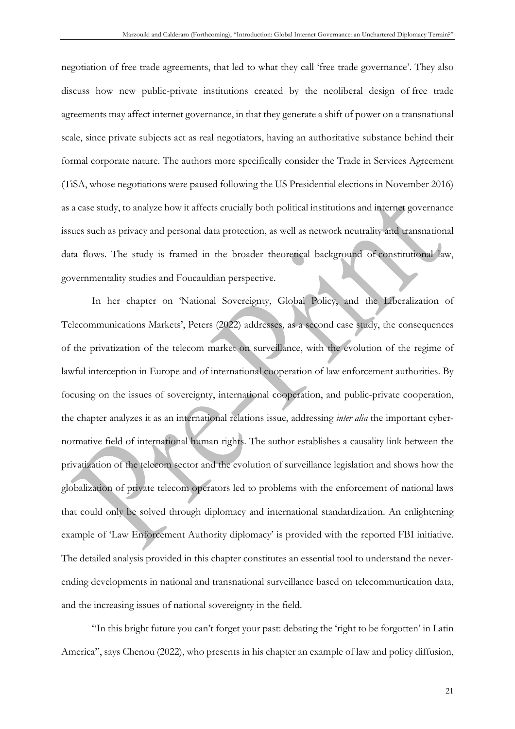negotiation of free trade agreements, that led to what they call 'free trade governance'. They also discuss how new public-private institutions created by the neoliberal design of free trade agreements may affect internet governance, in that they generate a shift of power on a transnational scale, since private subjects act as real negotiators, having an authoritative substance behind their formal corporate nature. The authors more specifically consider the Trade in Services Agreement (TiSA, whose negotiations were paused following the US Presidential elections in November 2016) as a case study, to analyze how it affects crucially both political institutions and internet governance issues such as privacy and personal data protection, as well as network neutrality and transnational data flows. The study is framed in the broader theoretical background of constitutional law, governmentality studies and Foucauldian perspective.

In her chapter on 'National Sovereignty, Global Policy, and the Liberalization of Telecommunications Markets', Peters (2022) addresses, as a second case study, the consequences of the privatization of the telecom market on surveillance, with the evolution of the regime of lawful interception in Europe and of international cooperation of law enforcement authorities. By focusing on the issues of sovereignty, international cooperation, and public-private cooperation, the chapter analyzes it as an international relations issue, addressing *inter alia* the important cybernormative field of international human rights. The author establishes a causality link between the privatization of the telecom sector and the evolution of surveillance legislation and shows how the globalization of private telecom operators led to problems with the enforcement of national laws that could only be solved through diplomacy and international standardization. An enlightening example of 'Law Enforcement Authority diplomacy' is provided with the reported FBI initiative. The detailed analysis provided in this chapter constitutes an essential tool to understand the neverending developments in national and transnational surveillance based on telecommunication data, and the increasing issues of national sovereignty in the field.

"In this bright future you can't forget your past: debating the 'right to be forgotten' in Latin America", says Chenou (2022), who presents in his chapter an example of law and policy diffusion,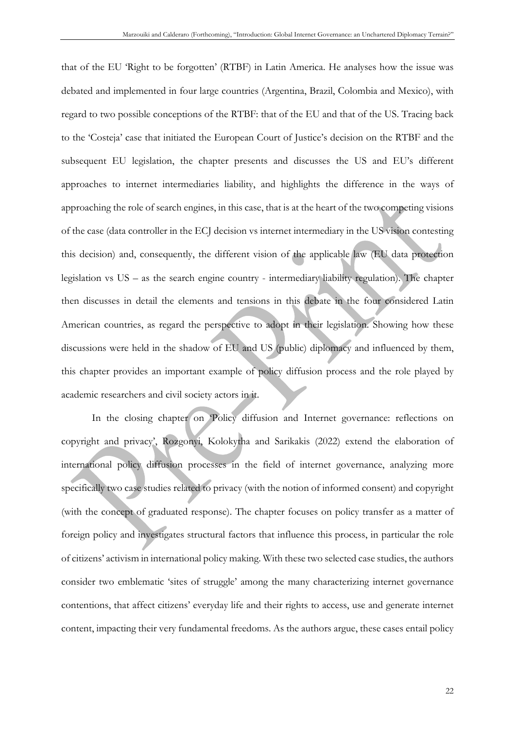that of the EU 'Right to be forgotten' (RTBF) in Latin America. He analyses how the issue was debated and implemented in four large countries (Argentina, Brazil, Colombia and Mexico), with regard to two possible conceptions of the RTBF: that of the EU and that of the US. Tracing back to the 'Costeja' case that initiated the European Court of Justice's decision on the RTBF and the subsequent EU legislation, the chapter presents and discusses the US and EU's different approaches to internet intermediaries liability, and highlights the difference in the ways of approaching the role of search engines, in this case, that is at the heart of the two competing visions of the case (data controller in the ECJ decision vs internet intermediary in the US vision contesting this decision) and, consequently, the different vision of the applicable law (EU data protection legislation vs US – as the search engine country - intermediary liability regulation). The chapter then discusses in detail the elements and tensions in this debate in the four considered Latin American countries, as regard the perspective to adopt in their legislation. Showing how these discussions were held in the shadow of EU and US (public) diplomacy and influenced by them, this chapter provides an important example of policy diffusion process and the role played by academic researchers and civil society actors in it.

In the closing chapter on 'Policy diffusion and Internet governance: reflections on copyright and privacy', Rozgonyi, Kolokytha and Sarikakis (2022) extend the elaboration of international policy diffusion processes in the field of internet governance, analyzing more specifically two case studies related to privacy (with the notion of informed consent) and copyright (with the concept of graduated response). The chapter focuses on policy transfer as a matter of foreign policy and investigates structural factors that influence this process, in particular the role of citizens' activism in international policy making. With these two selected case studies, the authors consider two emblematic 'sites of struggle' among the many characterizing internet governance contentions, that affect citizens' everyday life and their rights to access, use and generate internet content, impacting their very fundamental freedoms. As the authors argue, these cases entail policy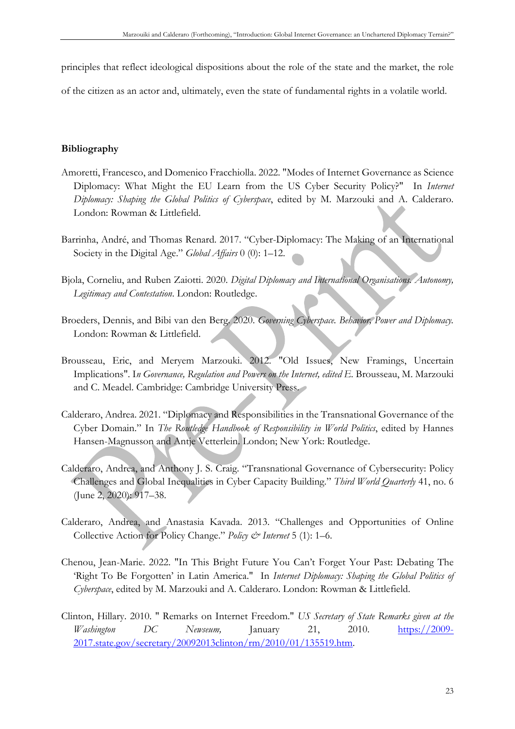principles that reflect ideological dispositions about the role of the state and the market, the role

of the citizen as an actor and, ultimately, even the state of fundamental rights in a volatile world.

# **Bibliography**

- Amoretti, Francesco, and Domenico Fracchiolla. 2022. "Modes of Internet Governance as Science Diplomacy: What Might the EU Learn from the US Cyber Security Policy?" In *Internet Diplomacy: Shaping the Global Politics of Cyberspace*, edited by M. Marzouki and A. Calderaro. London: Rowman & Littlefield.
- Barrinha, André, and Thomas Renard. 2017. "Cyber-Diplomacy: The Making of an International Society in the Digital Age." *Global Affairs* 0 (0): 1–12.
- Bjola, Corneliu, and Ruben Zaiotti. 2020. *Digital Diplomacy and International Organisations. Autonomy, Legitimacy and Contestation*. London: Routledge.
- Broeders, Dennis, and Bibi van den Berg. 2020. *Governing Cyberspace. Behavior, Power and Diplomacy.* London: Rowman & Littlefield.
- Brousseau, Eric, and Meryem Marzouki. 2012. "Old Issues, New Framings, Uncertain Implications". In Governance, Regulation and Powers on the Internet, edited E. Brousseau, M. Marzouki and C. Meadel. Cambridge: Cambridge University Press.
- Calderaro, Andrea. 2021. "Diplomacy and Responsibilities in the Transnational Governance of the Cyber Domain." In *The Routledge Handbook of Responsibility in World Politics*, edited by Hannes Hansen-Magnusson and Antje Vetterlein. London; New York: Routledge.
- Calderaro, Andrea, and Anthony J. S. Craig. "Transnational Governance of Cybersecurity: Policy Challenges and Global Inequalities in Cyber Capacity Building." *Third World Quarterly* 41, no. 6 (June 2, 2020): 917–38.
- Calderaro, Andrea, and Anastasia Kavada. 2013. "Challenges and Opportunities of Online Collective Action for Policy Change." *Policy & Internet* 5 (1): 1–6.
- Chenou, Jean-Marie. 2022. "In This Bright Future You Can't Forget Your Past: Debating The 'Right To Be Forgotten' in Latin America." In *Internet Diplomacy: Shaping the Global Politics of Cyberspace*, edited by M. Marzouki and A. Calderaro. London: Rowman & Littlefield.
- Clinton, Hillary. 2010. " Remarks on Internet Freedom." *US Secretary of State Remarks given at the Washington DC Newseum,* January 21, 2010. https://2009- 2017.state.gov/secretary/20092013clinton/rm/2010/01/135519.htm.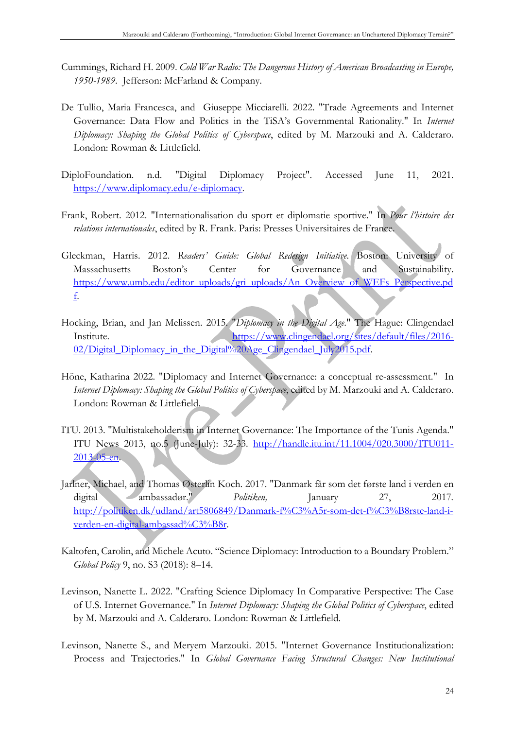- Cummings, Richard H. 2009. *Cold War Radio: The Dangerous History of American Broadcasting in Europe, 1950-1989*. Jefferson: McFarland & Company.
- De Tullio, Maria Francesca, and Giuseppe Micciarelli. 2022. "Trade Agreements and Internet Governance: Data Flow and Politics in the TiSA's Governmental Rationality." In *Internet Diplomacy: Shaping the Global Politics of Cyberspace*, edited by M. Marzouki and A. Calderaro. London: Rowman & Littlefield.
- DiploFoundation. n.d. "Digital Diplomacy Project". Accessed June 11, 2021. https://www.diplomacy.edu/e-diplomacy.
- Frank, Robert. 2012. "Internationalisation du sport et diplomatie sportive." In *Pour l'histoire des relations internationales*, edited by R. Frank. Paris: Presses Universitaires de France.
- Gleckman, Harris. 2012. *Readers' Guide: Global Redesign Initiative*. Boston: University of Massachusetts Boston's Center for Governance and Sustainability. https://www.umb.edu/editor\_uploads/gri\_uploads/An\_Overview\_of\_WEFs\_Perspective.pd f.
- Hocking, Brian, and Jan Melissen. 2015. "*Diplomacy in the Digital Age*." The Hague: Clingendael Institute. https://www.clingendael.org/sites/default/files/2016-02/Digital\_Diplomacy\_in\_the\_Digital%20Age\_Clingendael\_July2015.pdf.
- Höne, Katharina 2022. "Diplomacy and Internet Governance: a conceptual re-assessment." In *Internet Diplomacy: Shaping the Global Politics of Cyberspace*, edited by M. Marzouki and A. Calderaro. London: Rowman & Littlefield.
- ITU. 2013. "Multistakeholderism in Internet Governance: The Importance of the Tunis Agenda." ITU News 2013, no.5 (June-July): 32-33. http://handle.itu.int/11.1004/020.3000/ITU011- 2013-05-en.
- Jarlner, Michael, and Thomas Østerlin Koch. 2017. "Danmark får som det første land i verden en digital ambassadør." *Politiken*, January 27, 2017. http://politiken.dk/udland/art5806849/Danmark-f%C3%A5r-som-det-f%C3%B8rste-land-iverden-en-digital-ambassad%C3%B8r.
- Kaltofen, Carolin, and Michele Acuto. "Science Diplomacy: Introduction to a Boundary Problem." *Global Policy* 9, no. S3 (2018): 8–14.
- Levinson, Nanette L. 2022. "Crafting Science Diplomacy In Comparative Perspective: The Case of U.S. Internet Governance." In *Internet Diplomacy: Shaping the Global Politics of Cyberspace*, edited by M. Marzouki and A. Calderaro. London: Rowman & Littlefield.
- Levinson, Nanette S., and Meryem Marzouki. 2015. "Internet Governance Institutionalization: Process and Trajectories." In *Global Governance Facing Structural Changes: New Institutional*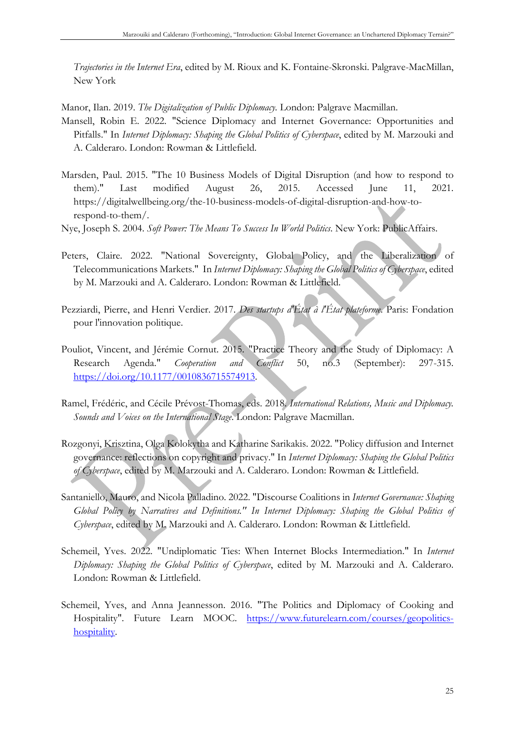*Trajectories in the Internet Era*, edited by M. Rioux and K. Fontaine-Skronski. Palgrave-MacMillan, New York

Manor, Ilan. 2019. *The Digitalization of Public Diplomacy.* London: Palgrave Macmillan.

- Mansell, Robin E. 2022. "Science Diplomacy and Internet Governance: Opportunities and Pitfalls." In *Internet Diplomacy: Shaping the Global Politics of Cyberspace*, edited by M. Marzouki and A. Calderaro. London: Rowman & Littlefield.
- Marsden, Paul. 2015. "The 10 Business Models of Digital Disruption (and how to respond to them)." Last modified August 26, 2015. Accessed June 11, 2021. https://digitalwellbeing.org/the-10-business-models-of-digital-disruption-and-how-torespond-to-them/.
- Nye, Joseph S. 2004. *Soft Power: The Means To Success In World Politics*. New York: PublicAffairs.
- Peters, Claire. 2022. "National Sovereignty, Global Policy, and the Liberalization of Telecommunications Markets." In *Internet Diplomacy: Shaping the Global Politics of Cyberspace*, edited by M. Marzouki and A. Calderaro. London: Rowman & Littlefield.
- Pezziardi, Pierre, and Henri Verdier. 2017. *Des startups d'État à l'État plateforme*. Paris: Fondation pour l'innovation politique.
- Pouliot, Vincent, and Jérémie Cornut. 2015. "Practice Theory and the Study of Diplomacy: A Research Agenda." *Cooperation and Conflict* 50, no.3 (September): 297-315. https://doi.org/10.1177/0010836715574913.
- Ramel, Frédéric, and Cécile Prévost-Thomas, eds. 2018. *International Relations, Music and Diplomacy. Sounds and Voices on the International Stage*. London: Palgrave Macmillan.
- Rozgonyi, Krisztina, Olga Kolokytha and Katharine Sarikakis. 2022. "Policy diffusion and Internet governance: reflections on copyright and privacy." In *Internet Diplomacy: Shaping the Global Politics of Cyberspace*, edited by M. Marzouki and A. Calderaro. London: Rowman & Littlefield.
- Santaniello, Mauro, and Nicola Palladino. 2022. "Discourse Coalitions in *Internet Governance: Shaping Global Policy by Narratives and Definitions." In Internet Diplomacy: Shaping the Global Politics of Cyberspace*, edited by M. Marzouki and A. Calderaro. London: Rowman & Littlefield.
- Schemeil, Yves. 2022. "Undiplomatic Ties: When Internet Blocks Intermediation." In *Internet Diplomacy: Shaping the Global Politics of Cyberspace*, edited by M. Marzouki and A. Calderaro. London: Rowman & Littlefield.
- Schemeil, Yves, and Anna Jeannesson. 2016. "The Politics and Diplomacy of Cooking and Hospitality". Future Learn MOOC. https://www.futurelearn.com/courses/geopoliticshospitality.